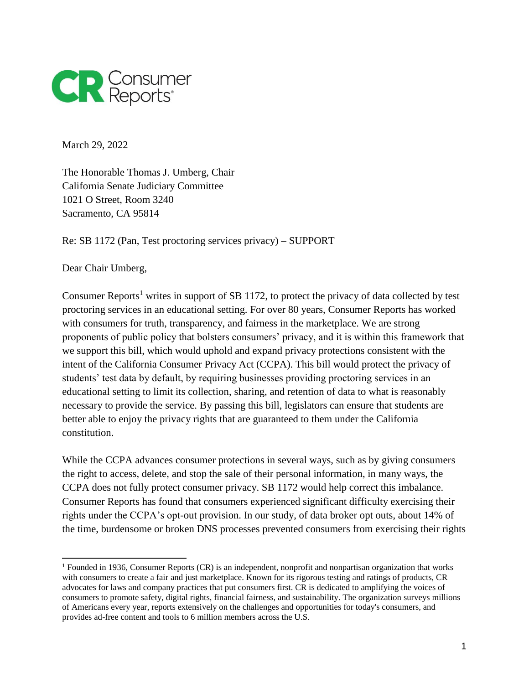

March 29, 2022

The Honorable Thomas J. Umberg, Chair California Senate Judiciary Committee 1021 O Street, Room 3240 Sacramento, CA 95814

Re: SB 1172 (Pan, Test proctoring services privacy) – SUPPORT

Dear Chair Umberg,

Consumer Reports<sup>1</sup> writes in support of SB 1172, to protect the privacy of data collected by test proctoring services in an educational setting. For over 80 years, Consumer Reports has worked with consumers for truth, transparency, and fairness in the marketplace. We are strong proponents of public policy that bolsters consumers' privacy, and it is within this framework that we support this bill, which would uphold and expand privacy protections consistent with the intent of the California Consumer Privacy Act (CCPA). This bill would protect the privacy of students' test data by default, by requiring businesses providing proctoring services in an educational setting to limit its collection, sharing, and retention of data to what is reasonably necessary to provide the service. By passing this bill, legislators can ensure that students are better able to enjoy the privacy rights that are guaranteed to them under the California constitution.

While the CCPA advances consumer protections in several ways, such as by giving consumers the right to access, delete, and stop the sale of their personal information, in many ways, the CCPA does not fully protect consumer privacy. SB 1172 would help correct this imbalance. Consumer Reports has found that consumers experienced significant difficulty exercising their rights under the CCPA's opt-out provision. In our study, of data broker opt outs, about 14% of the time, burdensome or broken DNS processes prevented consumers from exercising their rights

<sup>1</sup> Founded in 1936, Consumer Reports (CR) is an independent, nonprofit and nonpartisan organization that works with consumers to create a fair and just marketplace. Known for its rigorous testing and ratings of products, CR advocates for laws and company practices that put consumers first. CR is dedicated to amplifying the voices of consumers to promote safety, digital rights, financial fairness, and sustainability. The organization surveys millions of Americans every year, reports extensively on the challenges and opportunities for today's consumers, and provides ad-free content and tools to 6 million members across the U.S.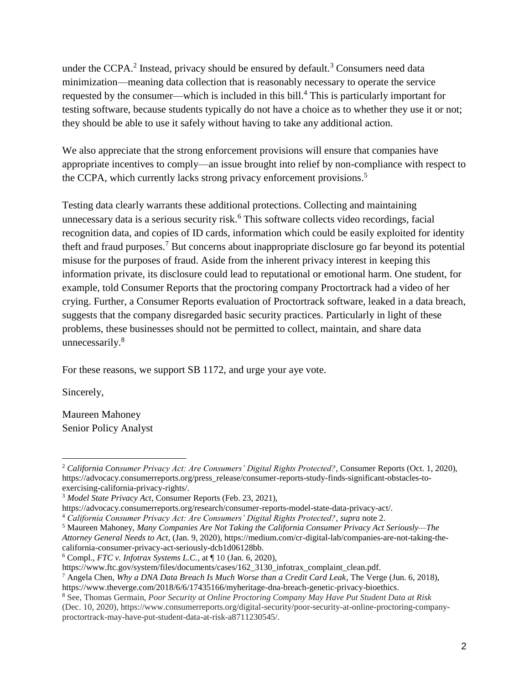under the CCPA.<sup>2</sup> Instead, privacy should be ensured by default.<sup>3</sup> Consumers need data minimization—meaning data collection that is reasonably necessary to operate the service requested by the consumer—which is included in this bill.<sup>4</sup> This is particularly important for testing software, because students typically do not have a choice as to whether they use it or not; they should be able to use it safely without having to take any additional action.

We also appreciate that the strong enforcement provisions will ensure that companies have appropriate incentives to comply—an issue brought into relief by non-compliance with respect to the CCPA, which currently lacks strong privacy enforcement provisions.<sup>5</sup>

Testing data clearly warrants these additional protections. Collecting and maintaining unnecessary data is a serious security risk.<sup>6</sup> This software collects video recordings, facial recognition data, and copies of ID cards, information which could be easily exploited for identity theft and fraud purposes.<sup>7</sup> But concerns about inappropriate disclosure go far beyond its potential misuse for the purposes of fraud. Aside from the inherent privacy interest in keeping this information private, its disclosure could lead to reputational or emotional harm. One student, for example, told Consumer Reports that the proctoring company Proctortrack had a video of her crying. Further, a Consumer Reports evaluation of Proctortrack software, leaked in a data breach, suggests that the company disregarded basic security practices. Particularly in light of these problems, these businesses should not be permitted to collect, maintain, and share data unnecessarily.<sup>8</sup>

For these reasons, we support SB 1172, and urge your aye vote.

Sincerely,

Maureen Mahoney Senior Policy Analyst

 <sup>2</sup> *California Consumer Privacy Act: Are Consumers' Digital Rights Protected?*, Consumer Reports (Oct. 1, 2020), https://advocacy.consumerreports.org/press\_release/consumer-reports-study-finds-significant-obstacles-toexercising-california-privacy-rights/.

<sup>3</sup> *Model State Privacy Act*, Consumer Reports (Feb. 23, 2021),

https://advocacy.consumerreports.org/research/consumer-reports-model-state-data-privacy-act/.

<sup>4</sup> *California Consumer Privacy Act: Are Consumers' Digital Rights Protected?*, *supra* note 2.

<sup>5</sup> Maureen Mahoney, *Many Companies Are Not Taking the California Consumer Privacy Act Seriously—The* 

*Attorney General Needs to Act*, (Jan. 9, 2020), https://medium.com/cr-digital-lab/companies-are-not-taking-thecalifornia-consumer-privacy-act-seriously-dcb1d06128bb.

<sup>6</sup> Compl., *FTC v. Infotrax Systems L.C.*, at ¶ 10 (Jan. 6, 2020),

https://www.ftc.gov/system/files/documents/cases/162\_3130\_infotrax\_complaint\_clean.pdf.

<sup>7</sup> Angela Chen, *Why a DNA Data Breach Is Much Worse than a Credit Card Leak*, The Verge (Jun. 6, 2018), https://www.theverge.com/2018/6/6/17435166/myheritage-dna-breach-genetic-privacy-bioethics.

<sup>8</sup> See, Thomas Germain, *Poor Security at Online Proctoring Company May Have Put Student Data at Risk* (Dec. 10, 2020), https://www.consumerreports.org/digital-security/poor-security-at-online-proctoring-companyproctortrack-may-have-put-student-data-at-risk-a8711230545/.